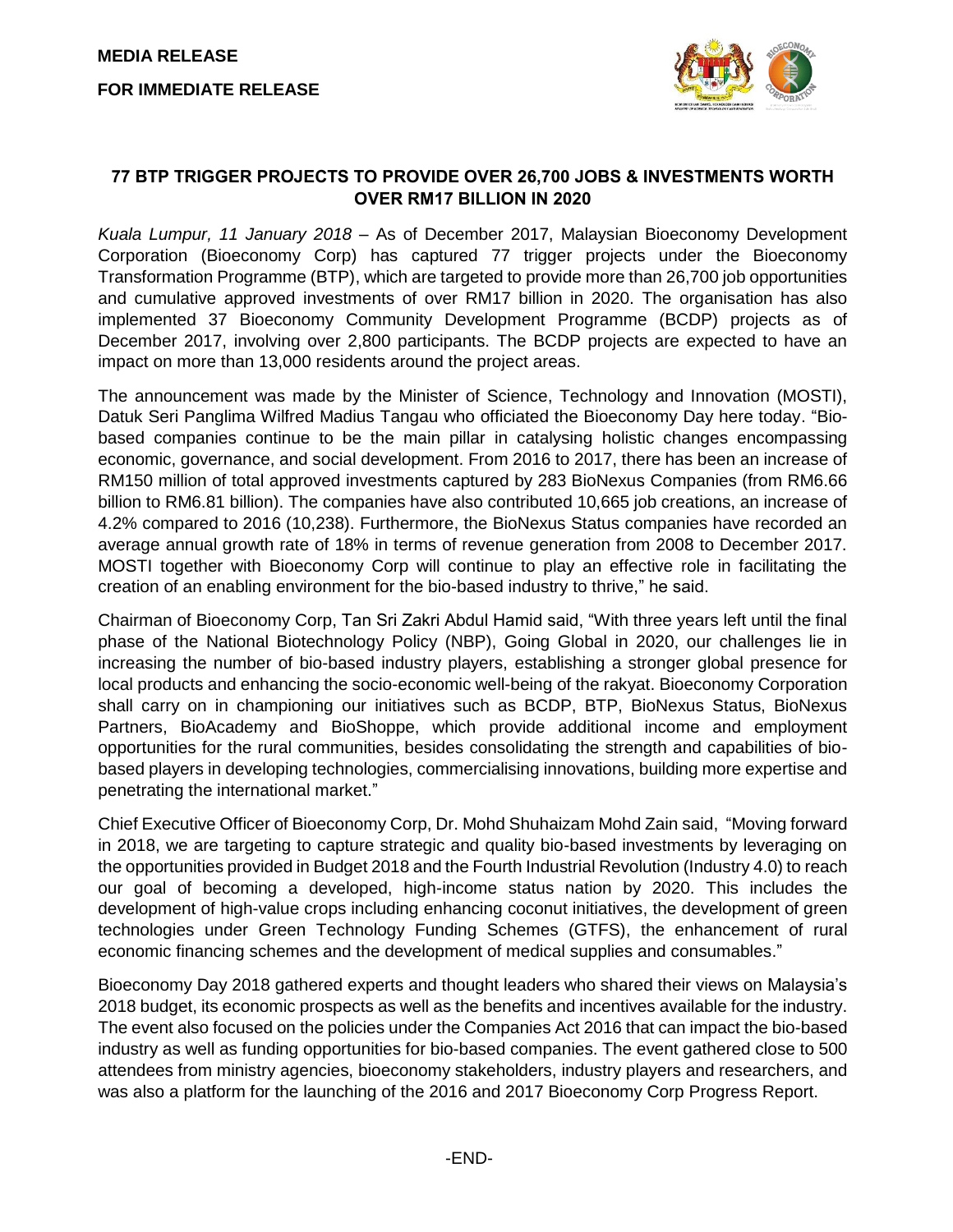**MEDIA RELEASE FOR IMMEDIATE RELEASE**



## **77 BTP TRIGGER PROJECTS TO PROVIDE OVER 26,700 JOBS & INVESTMENTS WORTH OVER RM17 BILLION IN 2020**

*Kuala Lumpur, 11 January 2018* – As of December 2017, Malaysian Bioeconomy Development Corporation (Bioeconomy Corp) has captured 77 trigger projects under the Bioeconomy Transformation Programme (BTP), which are targeted to provide more than 26,700 job opportunities and cumulative approved investments of over RM17 billion in 2020. The organisation has also implemented 37 Bioeconomy Community Development Programme (BCDP) projects as of December 2017, involving over 2,800 participants. The BCDP projects are expected to have an impact on more than 13,000 residents around the project areas.

The announcement was made by the Minister of Science, Technology and Innovation (MOSTI), Datuk Seri Panglima Wilfred Madius Tangau who officiated the Bioeconomy Day here today. "Biobased companies continue to be the main pillar in catalysing holistic changes encompassing economic, governance, and social development. From 2016 to 2017, there has been an increase of RM150 million of total approved investments captured by 283 BioNexus Companies (from RM6.66 billion to RM6.81 billion). The companies have also contributed 10,665 job creations, an increase of 4.2% compared to 2016 (10,238). Furthermore, the BioNexus Status companies have recorded an average annual growth rate of 18% in terms of revenue generation from 2008 to December 2017. MOSTI together with Bioeconomy Corp will continue to play an effective role in facilitating the creation of an enabling environment for the bio-based industry to thrive," he said.

Chairman of Bioeconomy Corp, Tan Sri Zakri Abdul Hamid said, "With three years left until the final phase of the National Biotechnology Policy (NBP), Going Global in 2020, our challenges lie in increasing the number of bio-based industry players, establishing a stronger global presence for local products and enhancing the socio-economic well-being of the rakyat. Bioeconomy Corporation shall carry on in championing our initiatives such as BCDP, BTP, BioNexus Status, BioNexus Partners, BioAcademy and BioShoppe, which provide additional income and employment opportunities for the rural communities, besides consolidating the strength and capabilities of biobased players in developing technologies, commercialising innovations, building more expertise and penetrating the international market."

Chief Executive Officer of Bioeconomy Corp, Dr. Mohd Shuhaizam Mohd Zain said, "Moving forward in 2018, we are targeting to capture strategic and quality bio-based investments by leveraging on the opportunities provided in Budget 2018 and the Fourth Industrial Revolution (Industry 4.0) to reach our goal of becoming a developed, high-income status nation by 2020. This includes the development of high-value crops including enhancing coconut initiatives, the development of green technologies under Green Technology Funding Schemes (GTFS), the enhancement of rural economic financing schemes and the development of medical supplies and consumables."

Bioeconomy Day 2018 gathered experts and thought leaders who shared their views on Malaysia's 2018 budget, its economic prospects as well as the benefits and incentives available for the industry. The event also focused on the policies under the Companies Act 2016 that can impact the bio-based industry as well as funding opportunities for bio-based companies. The event gathered close to 500 attendees from ministry agencies, bioeconomy stakeholders, industry players and researchers, and was also a platform for the launching of the 2016 and 2017 Bioeconomy Corp Progress Report.